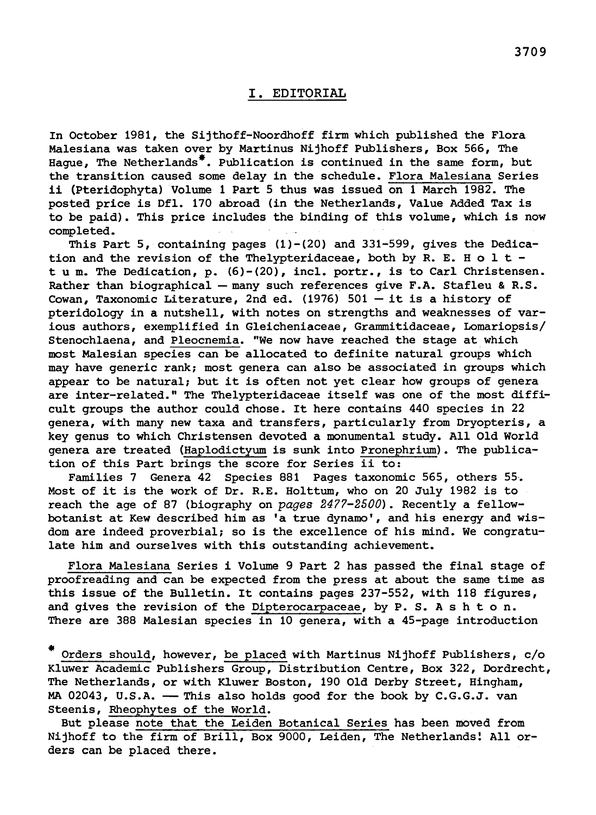## I. Editorial

In October 1981, the Sijthoff-Noordhoff firm which published the Flora Malesiana was taken over by Martinus Nijhoff Publishers, Box 566, The Hague, The Netherlands\*. Publication is continued in the same form, but the transition caused some delay in the schedule. Flora Malesiana Series ii (Pteridophyta) Volume <sup>1</sup> Part <sup>5</sup> thus was issued on <sup>1</sup> March 1982. The ii (Pteridophyta) Volume 1 Part 5 thus was issued on 1 March 1982. The posted price is Dfl. 170 abroad (in the Netherlands, Value Added Tax is to be paid). This price includes the binding of this volume, which is now completed.

tion of this Part brings the score for Series ii to:<br>Families 7 Genera 42 Species 881 Pages taxonomic 565, others 55. This Part 5, containing pages  $(1)-(20)$  and 331-599, gives the Dedication and the revision of the Thelypteridaceae, both by R. E. H  $o$  l t tum. The Dedication, p. (6)-(20), incl. portr., is to Carl Christensen. Rather than biographical — many such references give F.A. Stafleu & R.S. Cowan, Taxonomic Literature, 2nd ed. (1976)  $501 - it$  is a history of pteridology in <sup>a</sup> nutshell, with notes on strengths and weaknesses of various authors, exemplified in Gleicheniaceae, Grammitidaceae, Lomariopsis/ Stenochlaena, and Pleocnemia. "We now have reached the stage at which most Malesian species can be allocated to definite natural groups which may have generic rank; most genera can also be associated in groups which appear to be natural; but it is often not yet clear how groups of genera appear to be natural; but it is often not yet clear how groups of genera<br>are inter-related." The Thelypteridaceae itself was one of the most difficult groups the author could chose. It here contains <sup>440</sup> species in <sup>22</sup> genera, with many new taxa and transfers, particularly from Dryopteris, <sup>a</sup> key genus to which Christensen devoted <sup>a</sup> monumental study. All Old World enera are treated (Haplodictyum is sunk into Pronephrium). The publication of this Part brings the score for Series ii to:

Most of it is the work of Dr. R.E. Holttum, who on <sup>20</sup> July <sup>1982</sup> is to reach the age of 87 (biography on pages 2477-2500). Recently a fellowbotanist at Kew described him as 'a true dynamo', and his energy and wisdom are indeed proverbial; so is the excellence of his mind. We congratulate him and ourselves with this outstanding achievement.

Flora Malesiana Series i Volume <sup>9</sup> Part <sup>2</sup> has passed the final stage of proofreading and can be expected from the press at about the same time as this issue of the Bulletin. It contains pages 237-552, with <sup>118</sup> figures, and gives the revision of the Dipterocarpaceae, by  $P. S. A s h t o n.$ There are <sup>388</sup> Malesian species in <sup>10</sup> genera, with <sup>a</sup> 45-page introduction

\* Orders should, however, be placed with Martinus Nijhoff Publishers, c/o Kluwer Academic Publishers Group, Distribution Centre, Box 322, Dordrecht, The Netherlands, or with Kluwer Boston, <sup>190</sup> Old Derby Street, Hingham, MA 02043, U.S.A. — This also holds good for the book by C.G.G.J, van Steenis, Rheophytes of the World.

But please note that the Leiden Botanical Series has been moved from Nijhoff to the firm of Brill, Box 9000, Leiden, The Netherlands! All orders can be placed there.